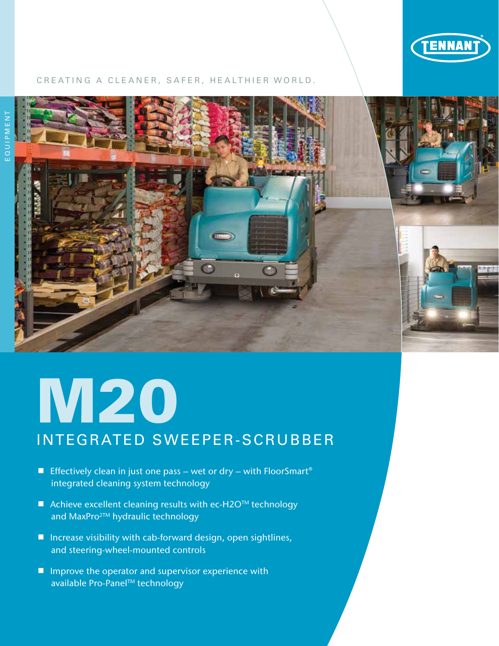

#### CREATING A CLEANER, SAFER, HEALTHIER WORLD.



## **M20** INTEGRATED SWEEPER-SCRUBBER

- Effectively clean in just one pass wet or dry with FloorSmart<sup>®</sup> integrated cleaning system technology
- $\blacksquare$  Achieve excellent cleaning results with ec-H2OTM technology and MaxPro<sup>2™</sup> hydraulic technology
- $\blacksquare$  Increase visibility with cab-forward design, open sightlines, and steering-wheel-mounted controls
- $\blacksquare$  Improve the operator and supervisor experience with available Pro-Panel™ technology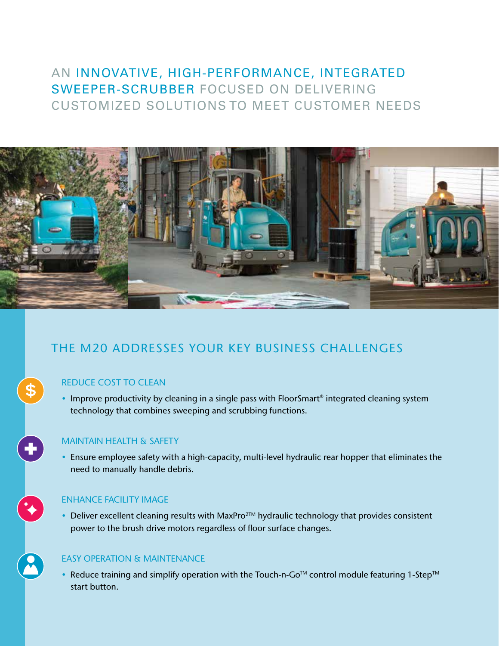#### AN INNOVATIVE, HIGH-PERFORMANCE, INTEGRATED SWEEPER-SCRUBBER FOCUSED ON DELIVERING CUSTOMIZED SOLUTIONS TO MEET CUSTOMER NEEDS



#### THE M20 ADDRESSES YOUR KEY BUSINESS CHALLENGES

#### REDUCE COST TO CLEAN

 $\bigoplus$ 

t

• Improve productivity by cleaning in a single pass with FloorSmart® integrated cleaning system technology that combines sweeping and scrubbing functions.

#### MAINTAIN HEALTH & SAFETY

• Ensure employee safety with a high-capacity, multi-level hydraulic rear hopper that eliminates the need to manually handle debris.

#### ENHANCE FACILITY IMAGE

• Deliver excellent cleaning results with MaxPro $2TM$  hydraulic technology that provides consistent power to the brush drive motors regardless of floor surface changes.

#### EASY OPERATION & MAINTENANCE

• Reduce training and simplify operation with the Touch-n-Go<sup>TM</sup> control module featuring 1-Step<sup>TM</sup> start button.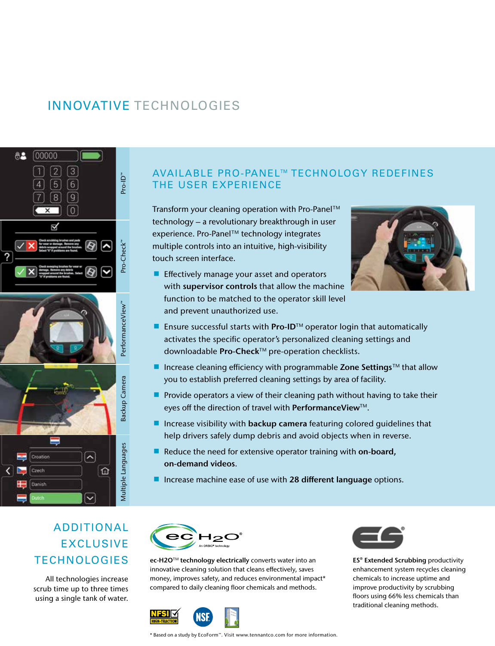#### INNOVATIVE TECHNOLOGIES



#### AVAILABLE PRO-PANEL™ TECHNOLOGY REDEFINES THE USER EXPERIENCE

Transform your cleaning operation with Pro-Panel™ technology – a revolutionary breakthrough in user experience. Pro-Panel™ technology integrates multiple controls into an intuitive, high-visibility touch screen interface.

**Effectively manage your asset and operators** with supervisor controls that allow the machine function to be matched to the operator skill level and prevent unauthorized use.



- **Ensure successful starts with Pro-ID**<sup>™</sup> operator login that automatically activates the specific operator's personalized cleaning settings and downloadable Pro-Check™ pre-operation checklists.
- Increase cleaning efficiency with programmable Zone Settings<sup>TM</sup> that allow you to establish preferred cleaning settings by area of facility.
- **Provide operators a view of their cleaning path without having to take their** eyes off the direction of travel with PerformanceView™.
- Increase visibility with backup camera featuring colored guidelines that help drivers safely dump debris and avoid objects when in reverse.
- Reduce the need for extensive operator training with on-board, on-demand videos.
- **If** Increase machine ease of use with 28 different language options.

#### ADDITIONAL EXCLUSIVE **TECHNOLOGIES**

All technologies increase scrub time up to three times using a single tank of water.



ec-H2O™ technology electrically converts water into an innovative cleaning solution that cleans effectively, saves money, improves safety, and reduces environmental impact\* compared to daily cleaning floor chemicals and methods.





**ES<sup>®</sup>** Extended Scrubbing productivity enhancement system recycles cleaning chemicals to increase uptime and improve productivity by scrubbing floors using 66% less chemicals than traditional cleaning methods.

\* Based on a study by EcoForm™. Visit www.tennantco.com for more information.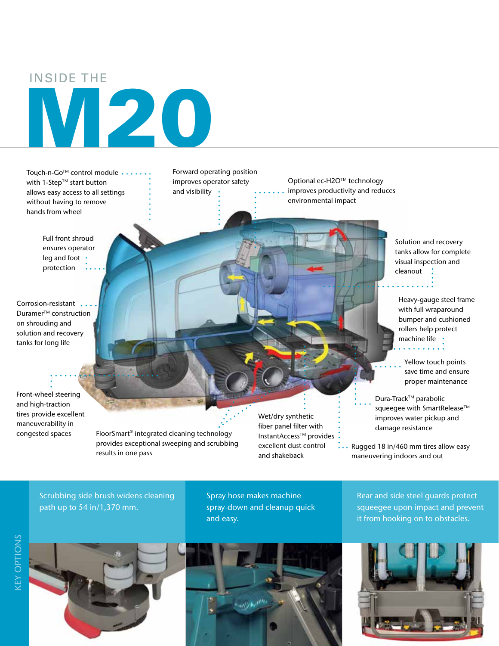#### INSIDE THE

# M20

Touch-n-Go™ control module •• with 1-Step™ start button allows easy access to all settings without having to remove hands from wheel

> Full front shroud ensures operator leg and foot • protection

Corrosion-resistant .. Duramer<sup>™</sup> construction on shrouding and solution and recovery tanks for long life

Front-wheel steering and high-traction tires provide excellent maneuverability in congested spaces

Forward operating position improves operator safety and visibility •

Optional ec-H2O™ technology improves productivity and reduces environmental impact

> Solution and recovery tanks allow for complete visual inspection and cleanout :

Heavy-gauge steel frame with full wraparound bumper and cushioned rollers help protect machine life •

Yellow touch points save time and ensure proper maintenance

Dura-Track™ parabolic squeegee with SmartRelease<sup>™</sup> improves water pickup and damage resistance

Rugged 18 in/460 mm tires allow easy maneuvering indoors and out

#### Scrubbing side brush widens cleaning path up to 54 in/1,370 mm.

results in one pass

FloorSmart® integrated cleaning technology provides exceptional sweeping and scrubbing

> Spray hose makes machine spray-down and cleanup quick and easy.

Wet/dry synthetic fiber panel filter with InstantAccess<sup>™</sup> provides excellent dust control and shakeback

> Rear and side steel guards protect squeegee upon impact and prevent it from hooking on to obstacles.







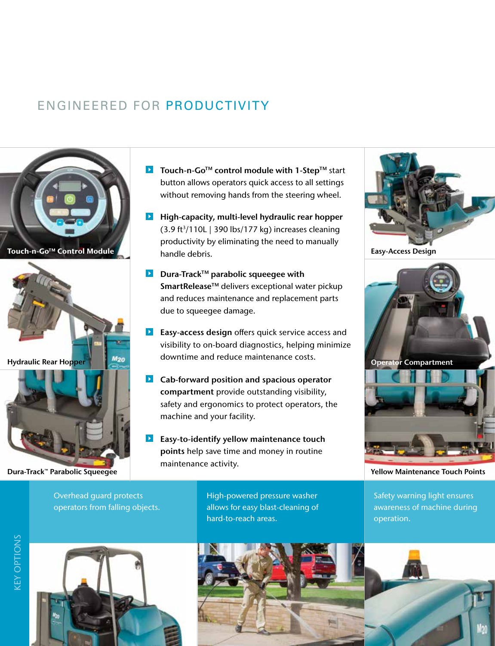#### ENGINEERED FOR PRODUCTIVITY



Dura-Track™ Parabolic Squeegee Yellow Maintenance Touch Points

- **D** Touch-n-Go<sup>TM</sup> control module with 1-Step<sup>TM</sup> start button allows operators quick access to all settings without removing hands from the steering wheel.
- **High-capacity, multi-level hydraulic rear hopper**  $(3.9 \text{ ft}^3/110L$  | 390 lbs/177 kg) increases cleaning productivity by eliminating the need to manually handle debris. Touch-n-Go<sup>™</sup> Control Module **National Control Module** of Bandle debris
	- **D** Dura-Track<sup>TM</sup> parabolic squeegee with SmartRelease™ delivers exceptional water pickup and reduces maintenance and replacement parts due to squeegee damage.
	- **Easy-access design** offers quick service access and visibility to on-board diagnostics, helping minimize downtime and reduce maintenance costs.
	- **D** Cab-forward position and spacious operator compartment provide outstanding visibility, safety and ergonomics to protect operators, the machine and your facility.
	- $\blacktriangleright$ Easy-to-identify yellow maintenance touch points help save time and money in routine maintenance activity.

High-powered pressure washer allows for easy blast-cleaning of hard-to-reach areas.





Overhead guard protects operators from falling objects.







M20